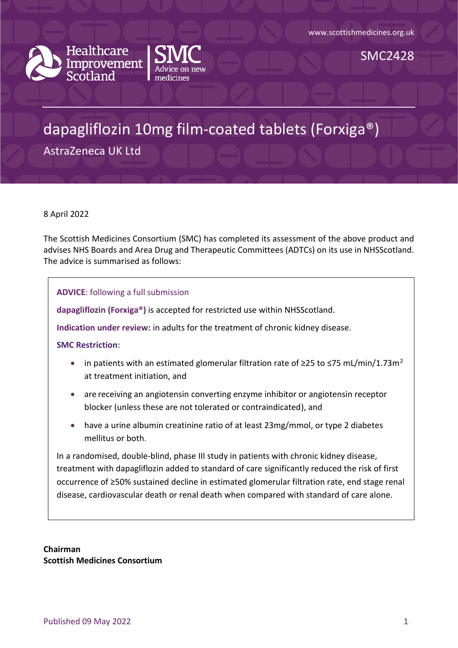



# dapagliflozin 10mg film-coated tablets (Forxiga®)

AstraZeneca UK Ltd

8 April 2022

The Scottish Medicines Consortium (SMC) has completed its assessment of the above product and advises NHS Boards and Area Drug and Therapeutic Committees (ADTCs) on its use in NHSScotland. The advice is summarised as follows:

**ADVICE**: following a full submission

**dapagliflozin (Forxiga®)** is accepted for restricted use within NHSScotland.

**Indication under review:** in adults for the treatment of chronic kidney disease.

**SMC Restriction**:

- in patients with an estimated glomerular filtration rate of  $\geq$ 25 to  $\leq$ 75 mL/min/1.73m<sup>2</sup> at treatment initiation, and
- are receiving an angiotensin converting enzyme inhibitor or angiotensin receptor blocker (unless these are not tolerated or contraindicated), and
- have a urine albumin creatinine ratio of at least 23mg/mmol, or type 2 diabetes mellitus or both.

In a randomised, double-blind, phase III study in patients with chronic kidney disease, treatment with dapagliflozin added to standard of care significantly reduced the risk of first occurrence of ≥50% sustained decline in estimated glomerular filtration rate, end stage renal disease, cardiovascular death or renal death when compared with standard of care alone.

**Chairman Scottish Medicines Consortium**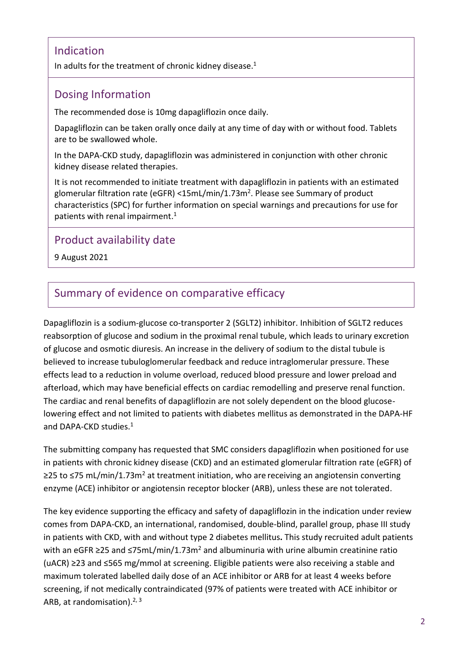#### Indication

In adults for the treatment of chronic kidney disease.<sup>1</sup>

#### Dosing Information

The recommended dose is 10mg dapagliflozin once daily.

Dapagliflozin can be taken orally once daily at any time of day with or without food. Tablets are to be swallowed whole.

In the DAPA-CKD study, dapagliflozin was administered in conjunction with other chronic kidney disease related therapies.

It is not recommended to initiate treatment with dapagliflozin in patients with an estimated glomerular filtration rate (eGFR) <15mL/min/1.73m<sup>2</sup>. Please see Summary of product characteristics (SPC) for further information on special warnings and precautions for use for patients with renal impairment. 1

### Product availability date

9 August 2021

#### Summary of evidence on comparative efficacy

Dapagliflozin is a sodium-glucose co-transporter 2 (SGLT2) inhibitor. Inhibition of SGLT2 reduces reabsorption of glucose and sodium in the proximal renal tubule, which leads to urinary excretion of glucose and osmotic diuresis. An increase in the delivery of sodium to the distal tubule is believed to increase tubuloglomerular feedback and reduce intraglomerular pressure. These effects lead to a reduction in volume overload, reduced blood pressure and lower preload and afterload, which may have beneficial effects on cardiac remodelling and preserve renal function. The cardiac and renal benefits of dapagliflozin are not solely dependent on the blood glucoselowering effect and not limited to patients with diabetes mellitus as demonstrated in the DAPA-HF and DAPA-CKD studies.<sup>1</sup>

The submitting company has requested that SMC considers dapagliflozin when positioned for use in patients with chronic kidney disease (CKD) and an estimated glomerular filtration rate (eGFR) of ≥25 to ≤75 mL/min/1.73m<sup>2</sup> at treatment initiation, who are receiving an angiotensin converting enzyme (ACE) inhibitor or angiotensin receptor blocker (ARB), unless these are not tolerated.

The key evidence supporting the efficacy and safety of dapagliflozin in the indication under review comes from DAPA-CKD, an international, randomised, double-blind, parallel group, phase III study in patients with CKD, with and without type 2 diabetes mellitus**.** This study recruited adult patients with an eGFR ≥25 and  $\leq 75$ mL/min/1.73m<sup>2</sup> and albuminuria with urine albumin creatinine ratio (uACR) ≥23 and ≤565 mg/mmol at screening. Eligible patients were also receiving a stable and maximum tolerated labelled daily dose of an ACE inhibitor or ARB for at least 4 weeks before screening, if not medically contraindicated (97% of patients were treated with ACE inhibitor or ARB, at randomisation).<sup>2, 3</sup>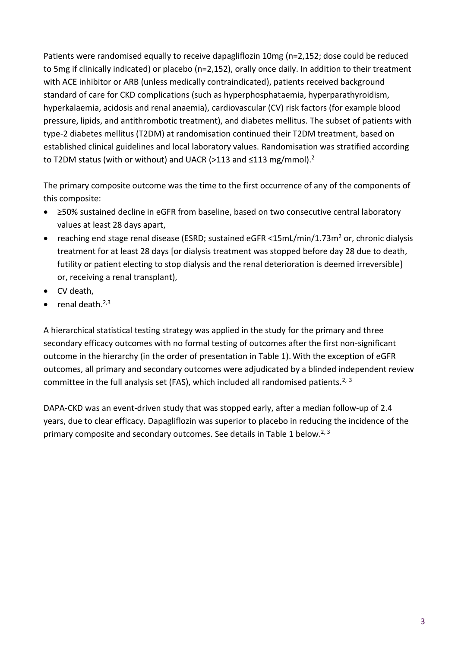Patients were randomised equally to receive dapagliflozin 10mg (n=2,152; dose could be reduced to 5mg if clinically indicated) or placebo (n=2,152), orally once daily. In addition to their treatment with ACE inhibitor or ARB (unless medically contraindicated), patients received background standard of care for CKD complications (such as hyperphosphataemia, hyperparathyroidism, hyperkalaemia, acidosis and renal anaemia), cardiovascular (CV) risk factors (for example blood pressure, lipids, and antithrombotic treatment), and diabetes mellitus. The subset of patients with type-2 diabetes mellitus (T2DM) at randomisation continued their T2DM treatment, based on established clinical guidelines and local laboratory values. Randomisation was stratified according to T2DM status (with or without) and UACR (>113 and ≤113 mg/mmol).<sup>2</sup>

The primary composite outcome was the time to the first occurrence of any of the components of this composite:

- ≥50% sustained decline in eGFR from baseline, based on two consecutive central laboratory values at least 28 days apart,
- reaching end stage renal disease (ESRD; sustained eGFR  $\leq$ 15mL/min/1.73m<sup>2</sup> or, chronic dialysis treatment for at least 28 days [or dialysis treatment was stopped before day 28 due to death, futility or patient electing to stop dialysis and the renal deterioration is deemed irreversible] or, receiving a renal transplant),
- CV death,
- $\bullet$  renal death.<sup>2,3</sup>

A hierarchical statistical testing strategy was applied in the study for the primary and three secondary efficacy outcomes with no formal testing of outcomes after the first non-significant outcome in the hierarchy (in the order of presentation in Table 1). With the exception of eGFR outcomes, all primary and secondary outcomes were adjudicated by a blinded independent review committee in the full analysis set (FAS), which included all randomised patients.<sup>2, 3</sup>

DAPA-CKD was an event-driven study that was stopped early, after a median follow-up of 2.4 years, due to clear efficacy. Dapagliflozin was superior to placebo in reducing the incidence of the primary composite and secondary outcomes. See details in Table 1 below.<sup>2, 3</sup>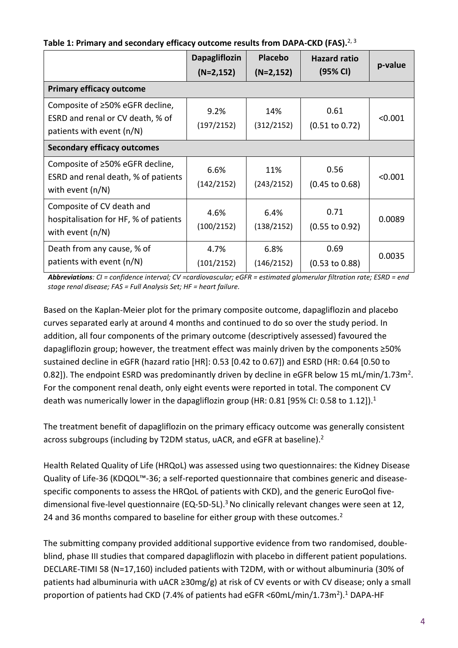|  |  | Table 1: Primary and secondary efficacy outcome results from DAPA-CKD (FAS). <sup>2, 3</sup> |  |
|--|--|----------------------------------------------------------------------------------------------|--|
|--|--|----------------------------------------------------------------------------------------------|--|

|                                                                                                  | <b>Dapagliflozin</b><br>$(N=2, 152)$ | <b>Placebo</b><br>$(N=2, 152)$ | <b>Hazard ratio</b><br>(95% CI)   | p-value |
|--------------------------------------------------------------------------------------------------|--------------------------------------|--------------------------------|-----------------------------------|---------|
| <b>Primary efficacy outcome</b>                                                                  |                                      |                                |                                   |         |
| Composite of ≥50% eGFR decline,<br>ESRD and renal or CV death, % of<br>patients with event (n/N) | 9.2%<br>(197/2152)                   | 14%<br>(312/2152)              | 0.61<br>$(0.51 \text{ to } 0.72)$ | < 0.001 |
| <b>Secondary efficacy outcomes</b>                                                               |                                      |                                |                                   |         |
| Composite of ≥50% eGFR decline,<br>ESRD and renal death, % of patients<br>with event $(n/N)$     | 6.6%<br>(142/2152)                   | 11%<br>(243/2152)              | 0.56<br>$(0.45 \text{ to } 0.68)$ | < 0.001 |
| Composite of CV death and<br>hospitalisation for HF, % of patients<br>with event $(n/N)$         | 4.6%<br>(100/2152)                   | 6.4%<br>(138/2152)             | 0.71<br>$(0.55 \text{ to } 0.92)$ | 0.0089  |
| Death from any cause, % of<br>patients with event (n/N)                                          | 4.7%<br>(101/2152)                   | 6.8%<br>(146/2152)             | 0.69<br>$(0.53 \text{ to } 0.88)$ | 0.0035  |

*Abbreviations: CI = confidence interval; CV =cardiovascular; eGFR = estimated glomerular filtration rate; ESRD = end stage renal disease; FAS = Full Analysis Set; HF = heart failure.*

Based on the Kaplan-Meier plot for the primary composite outcome, dapagliflozin and placebo curves separated early at around 4 months and continued to do so over the study period. In addition, all four components of the primary outcome (descriptively assessed) favoured the dapagliflozin group; however, the treatment effect was mainly driven by the components ≥50% sustained decline in eGFR (hazard ratio [HR]: 0.53 [0.42 to 0.67]) and ESRD (HR: 0.64 [0.50 to 0.82]). The endpoint ESRD was predominantly driven by decline in eGFR below 15 mL/min/1.73m<sup>2</sup>. For the component renal death, only eight events were reported in total. The component CV death was numerically lower in the dapagliflozin group (HR: 0.81 [95% CI: 0.58 to 1.12]).<sup>1</sup>

The treatment benefit of dapagliflozin on the primary efficacy outcome was generally consistent across subgroups (including by T2DM status, uACR, and eGFR at baseline).<sup>2</sup>

Health Related Quality of Life (HRQoL) was assessed using two questionnaires: the Kidney Disease Quality of Life-36 (KDQOL™-36; a self-reported questionnaire that combines generic and diseasespecific components to assess the HRQoL of patients with CKD), and the generic EuroQol fivedimensional five-level questionnaire (EQ-5D-5L).<sup>3</sup> No clinically relevant changes were seen at 12, 24 and 36 months compared to baseline for either group with these outcomes.<sup>2</sup>

The submitting company provided additional supportive evidence from two randomised, doubleblind, phase III studies that compared dapagliflozin with placebo in different patient populations. DECLARE-TIMI 58 (N=17,160) included patients with T2DM, with or without albuminuria (30% of patients had albuminuria with uACR ≥30mg/g) at risk of CV events or with CV disease; only a small proportion of patients had CKD (7.4% of patients had eGFR <60mL/min/1.73m<sup>2</sup>).<sup>1</sup> DAPA-HF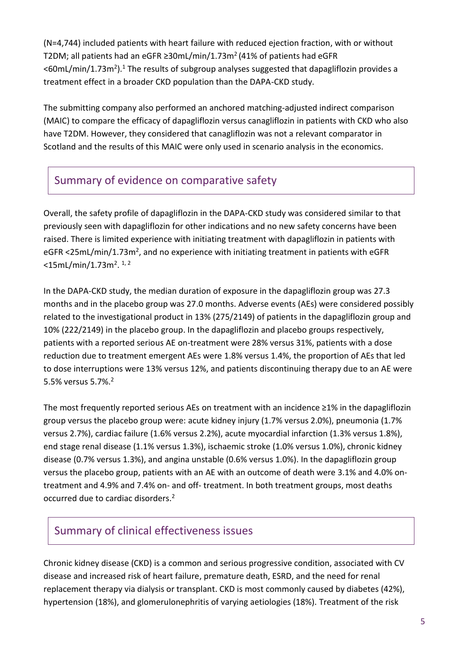(N=4,744) included patients with heart failure with reduced ejection fraction, with or without T2DM; all patients had an eGFR ≥30mL/min/1.73m<sup>2</sup> (41% of patients had eGFR  $<$ 60mL/min/1.73m<sup>2</sup>).<sup>1</sup> The results of subgroup analyses suggested that dapagliflozin provides a treatment effect in a broader CKD population than the DAPA-CKD study.

The submitting company also performed an anchored matching-adjusted indirect comparison (MAIC) to compare the efficacy of dapagliflozin versus canagliflozin in patients with CKD who also have T2DM. However, they considered that canagliflozin was not a relevant comparator in Scotland and the results of this MAIC were only used in scenario analysis in the economics.

### Summary of evidence on comparative safety

Overall, the safety profile of dapagliflozin in the DAPA-CKD study was considered similar to that previously seen with dapagliflozin for other indications and no new safety concerns have been raised. There is limited experience with initiating treatment with dapagliflozin in patients with eGFR <25mL/min/1.73m<sup>2</sup>, and no experience with initiating treatment in patients with eGFR <15mL/min/1.73m<sup>2</sup>.<sup>1,2</sup>

In the DAPA-CKD study, the median duration of exposure in the dapagliflozin group was 27.3 months and in the placebo group was 27.0 months. Adverse events (AEs) were considered possibly related to the investigational product in 13% (275/2149) of patients in the dapagliflozin group and 10% (222/2149) in the placebo group. In the dapagliflozin and placebo groups respectively, patients with a reported serious AE on-treatment were 28% versus 31%, patients with a dose reduction due to treatment emergent AEs were 1.8% versus 1.4%, the proportion of AEs that led to dose interruptions were 13% versus 12%, and patients discontinuing therapy due to an AE were 5.5% versus 5.7%.<sup>2</sup>

The most frequently reported serious AEs on treatment with an incidence ≥1% in the dapagliflozin group versus the placebo group were: acute kidney injury (1.7% versus 2.0%), pneumonia (1.7% versus 2.7%), cardiac failure (1.6% versus 2.2%), acute myocardial infarction (1.3% versus 1.8%), end stage renal disease (1.1% versus 1.3%), ischaemic stroke (1.0% versus 1.0%), chronic kidney disease (0.7% versus 1.3%), and angina unstable (0.6% versus 1.0%). In the dapagliflozin group versus the placebo group, patients with an AE with an outcome of death were 3.1% and 4.0% ontreatment and 4.9% and 7.4% on- and off- treatment. In both treatment groups, most deaths occurred due to cardiac disorders.<sup>2</sup>

#### Summary of clinical effectiveness issues

Chronic kidney disease (CKD) is a common and serious progressive condition, associated with CV disease and increased risk of heart failure, premature death, ESRD, and the need for renal replacement therapy via dialysis or transplant. CKD is most commonly caused by diabetes (42%), hypertension (18%), and glomerulonephritis of varying aetiologies (18%). Treatment of the risk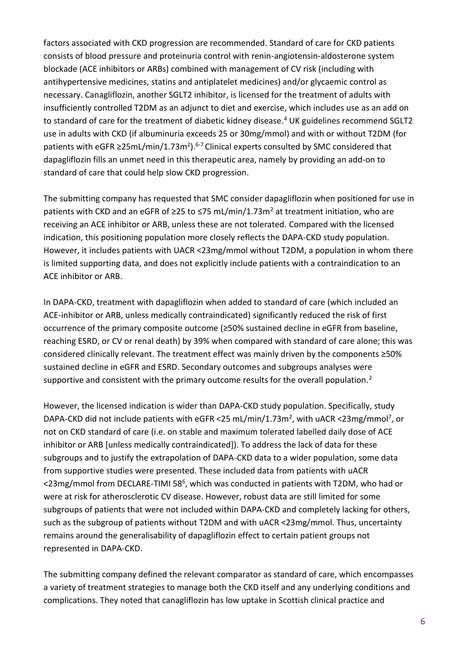factors associated with CKD progression are recommended. Standard of care for CKD patients consists of blood pressure and proteinuria control with renin-angiotensin-aldosterone system blockade (ACE inhibitors or ARBs) combined with management of CV risk (including with antihypertensive medicines, statins and antiplatelet medicines) and/or glycaemic control as necessary. Canagliflozin, another SGLT2 inhibitor, is licensed for the treatment of adults with insufficiently controlled T2DM as an adjunct to diet and exercise, which includes use as an add on to standard of care for the treatment of diabetic kidney disease.<sup>4</sup> UK guidelines recommend SGLT2 use in adults with CKD (if albuminuria exceeds 25 or 30mg/mmol) and with or without T2DM (for patients with eGFR ≥25mL/min/1.73m<sup>2</sup>).<sup>6-7</sup> Clinical experts consulted by SMC considered that dapagliflozin fills an unmet need in this therapeutic area, namely by providing an add-on to standard of care that could help slow CKD progression.

The submitting company has requested that SMC consider dapagliflozin when positioned for use in patients with CKD and an eGFR of  $\geq$ 25 to  $\leq$ 75 mL/min/1.73m<sup>2</sup> at treatment initiation, who are receiving an ACE inhibitor or ARB, unless these are not tolerated. Compared with the licensed indication, this positioning population more closely reflects the DAPA-CKD study population. However, it includes patients with UACR <23mg/mmol without T2DM, a population in whom there is limited supporting data, and does not explicitly include patients with a contraindication to an ACE inhibitor or ARB.

In DAPA-CKD, treatment with dapagliflozin when added to standard of care (which included an ACE-inhibitor or ARB, unless medically contraindicated) significantly reduced the risk of first occurrence of the primary composite outcome (≥50% sustained decline in eGFR from baseline, reaching ESRD, or CV or renal death) by 39% when compared with standard of care alone; this was considered clinically relevant. The treatment effect was mainly driven by the components ≥50% sustained decline in eGFR and ESRD. Secondary outcomes and subgroups analyses were supportive and consistent with the primary outcome results for the overall population.<sup>2</sup>

However, the licensed indication is wider than DAPA-CKD study population. Specifically, study DAPA-CKD did not include patients with eGFR <25 mL/min/1.73m<sup>2</sup>, with uACR <23mg/mmol<sup>7</sup>, or not on CKD standard of care (i.e. on stable and maximum tolerated labelled daily dose of ACE inhibitor or ARB [unless medically contraindicated]). To address the lack of data for these subgroups and to justify the extrapolation of DAPA-CKD data to a wider population, some data from supportive studies were presented. These included data from patients with uACR <23mg/mmol from DECLARE-TIMI 58<sup>6</sup>, which was conducted in patients with T2DM, who had or were at risk for atherosclerotic CV disease. However, robust data are still limited for some subgroups of patients that were not included within DAPA-CKD and completely lacking for others, such as the subgroup of patients without T2DM and with uACR <23mg/mmol. Thus, uncertainty remains around the generalisability of dapagliflozin effect to certain patient groups not represented in DAPA-CKD.

The submitting company defined the relevant comparator as standard of care, which encompasses a variety of treatment strategies to manage both the CKD itself and any underlying conditions and complications. They noted that canagliflozin has low uptake in Scottish clinical practice and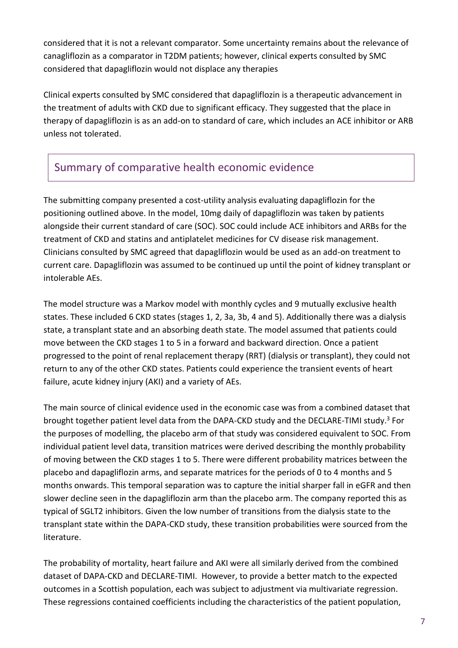considered that it is not a relevant comparator. Some uncertainty remains about the relevance of canagliflozin as a comparator in T2DM patients; however, clinical experts consulted by SMC considered that dapagliflozin would not displace any therapies

Clinical experts consulted by SMC considered that dapagliflozin is a therapeutic advancement in the treatment of adults with CKD due to significant efficacy. They suggested that the place in therapy of dapagliflozin is as an add-on to standard of care, which includes an ACE inhibitor or ARB unless not tolerated.

# Summary of comparative health economic evidence

The submitting company presented a cost-utility analysis evaluating dapagliflozin for the positioning outlined above. In the model, 10mg daily of dapagliflozin was taken by patients alongside their current standard of care (SOC). SOC could include ACE inhibitors and ARBs for the treatment of CKD and statins and antiplatelet medicines for CV disease risk management. Clinicians consulted by SMC agreed that dapagliflozin would be used as an add-on treatment to current care. Dapagliflozin was assumed to be continued up until the point of kidney transplant or intolerable AEs.

The model structure was a Markov model with monthly cycles and 9 mutually exclusive health states. These included 6 CKD states (stages 1, 2, 3a, 3b, 4 and 5). Additionally there was a dialysis state, a transplant state and an absorbing death state. The model assumed that patients could move between the CKD stages 1 to 5 in a forward and backward direction. Once a patient progressed to the point of renal replacement therapy (RRT) (dialysis or transplant), they could not return to any of the other CKD states. Patients could experience the transient events of heart failure, acute kidney injury (AKI) and a variety of AEs.

The main source of clinical evidence used in the economic case was from a combined dataset that brought together patient level data from the DAPA-CKD study and the DECLARE-TIMI study. <sup>3</sup> For the purposes of modelling, the placebo arm of that study was considered equivalent to SOC. From individual patient level data, transition matrices were derived describing the monthly probability of moving between the CKD stages 1 to 5. There were different probability matrices between the placebo and dapagliflozin arms, and separate matrices for the periods of 0 to 4 months and 5 months onwards. This temporal separation was to capture the initial sharper fall in eGFR and then slower decline seen in the dapagliflozin arm than the placebo arm. The company reported this as typical of SGLT2 inhibitors. Given the low number of transitions from the dialysis state to the transplant state within the DAPA-CKD study, these transition probabilities were sourced from the literature.

The probability of mortality, heart failure and AKI were all similarly derived from the combined dataset of DAPA-CKD and DECLARE-TIMI. However, to provide a better match to the expected outcomes in a Scottish population, each was subject to adjustment via multivariate regression. These regressions contained coefficients including the characteristics of the patient population,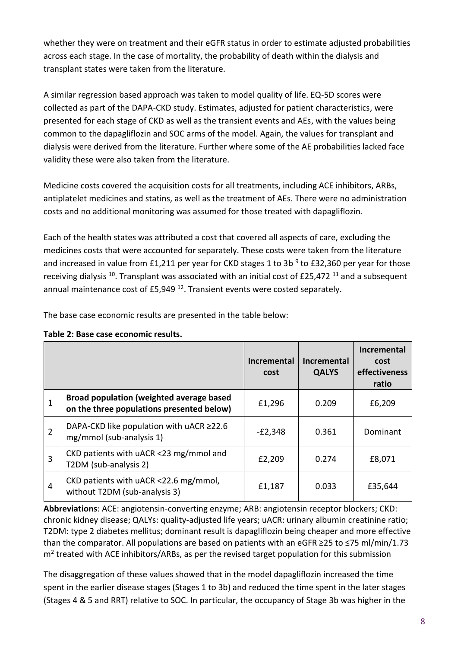whether they were on treatment and their eGFR status in order to estimate adjusted probabilities across each stage. In the case of mortality, the probability of death within the dialysis and transplant states were taken from the literature.

A similar regression based approach was taken to model quality of life. EQ-5D scores were collected as part of the DAPA-CKD study. Estimates, adjusted for patient characteristics, were presented for each stage of CKD as well as the transient events and AEs, with the values being common to the dapagliflozin and SOC arms of the model. Again, the values for transplant and dialysis were derived from the literature. Further where some of the AE probabilities lacked face validity these were also taken from the literature.

Medicine costs covered the acquisition costs for all treatments, including ACE inhibitors, ARBs, antiplatelet medicines and statins, as well as the treatment of AEs. There were no administration costs and no additional monitoring was assumed for those treated with dapagliflozin.

Each of the health states was attributed a cost that covered all aspects of care, excluding the medicines costs that were accounted for separately. These costs were taken from the literature and increased in value from £1,211 per year for CKD stages 1 to 3b<sup>9</sup> to £32,360 per year for those receiving dialysis  $^{10}$ . Transplant was associated with an initial cost of £25,472  $^{11}$  and a subsequent annual maintenance cost of £5,949<sup>12</sup>. Transient events were costed separately.

The base case economic results are presented in the table below:

|   |                                                                                              | Incremental<br>cost | Incremental<br><b>QALYS</b> | Incremental<br>cost<br>effectiveness<br>ratio |
|---|----------------------------------------------------------------------------------------------|---------------------|-----------------------------|-----------------------------------------------|
| 1 | <b>Broad population (weighted average based</b><br>on the three populations presented below) | £1,296              | 0.209                       | £6,209                                        |
| 2 | DAPA-CKD like population with uACR ≥22.6<br>mg/mmol (sub-analysis 1)                         | $-E2,348$           | 0.361                       | Dominant                                      |
| 3 | CKD patients with uACR <23 mg/mmol and<br>T2DM (sub-analysis 2)                              | £2,209              | 0.274                       | £8,071                                        |
| 4 | CKD patients with uACR <22.6 mg/mmol,<br>without T2DM (sub-analysis 3)                       | £1,187              | 0.033                       | £35,644                                       |

**Table 2: Base case economic results.**

**Abbreviations**: ACE: angiotensin-converting enzyme; ARB: angiotensin receptor blockers; CKD: chronic kidney disease; QALYs: quality-adjusted life years; uACR: urinary albumin creatinine ratio; T2DM: type 2 diabetes mellitus; dominant result is dapagliflozin being cheaper and more effective than the comparator. All populations are based on patients with an eGFR ≥25 to ≤75 ml/min/1.73 m<sup>2</sup> treated with ACE inhibitors/ARBs, as per the revised target population for this submission

The disaggregation of these values showed that in the model dapagliflozin increased the time spent in the earlier disease stages (Stages 1 to 3b) and reduced the time spent in the later stages (Stages 4 & 5 and RRT) relative to SOC. In particular, the occupancy of Stage 3b was higher in the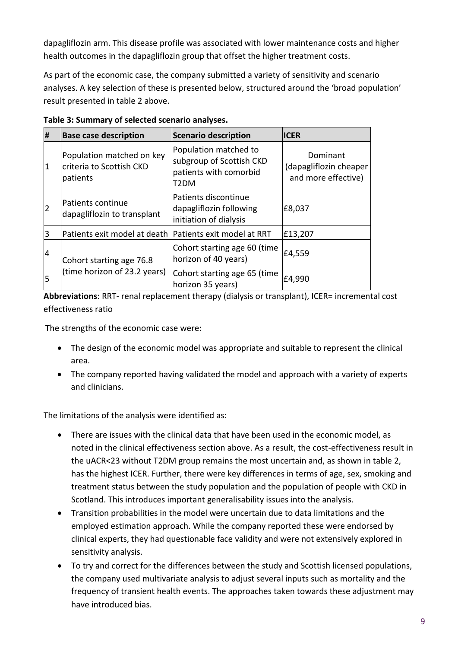dapagliflozin arm. This disease profile was associated with lower maintenance costs and higher health outcomes in the dapagliflozin group that offset the higher treatment costs.

As part of the economic case, the company submitted a variety of sensitivity and scenario analyses. A key selection of these is presented below, structured around the 'broad population' result presented in table 2 above.

| #  | <b>Base case description</b>                                      | <b>Scenario description</b>                                                         | <b>ICER</b>                                               |
|----|-------------------------------------------------------------------|-------------------------------------------------------------------------------------|-----------------------------------------------------------|
| 1  | Population matched on key<br>criteria to Scottish CKD<br>patients | Population matched to<br>subgroup of Scottish CKD<br>patients with comorbid<br>T2DM | Dominant<br>(dapagliflozin cheaper<br>and more effective) |
| 2  | Patients continue<br>dapagliflozin to transplant                  | Patients discontinue<br>dapagliflozin following<br>initiation of dialysis           | £8,037                                                    |
| 3  | Patients exit model at death   Patients exit model at RRT         |                                                                                     | £13,207                                                   |
| 14 | Cohort starting age 76.8<br>(time horizon of 23.2 years)          | Cohort starting age 60 (time<br>horizon of 40 years)                                | £4,559                                                    |
| 5  |                                                                   | Cohort starting age 65 (time<br>horizon 35 years)                                   | £4,990                                                    |

**Table 3: Summary of selected scenario analyses.**

Abbreviations: RRT- renal replacement therapy (dialysis or transplant), ICER= incremental cost effectiveness ratio

The strengths of the economic case were:

- The design of the economic model was appropriate and suitable to represent the clinical area.
- The company reported having validated the model and approach with a variety of experts and clinicians.

The limitations of the analysis were identified as:

- There are issues with the clinical data that have been used in the economic model, as noted in the clinical effectiveness section above. As a result, the cost-effectiveness result in the uACR<23 without T2DM group remains the most uncertain and, as shown in table 2, has the highest ICER. Further, there were key differences in terms of age, sex, smoking and treatment status between the study population and the population of people with CKD in Scotland. This introduces important generalisability issues into the analysis.
- Transition probabilities in the model were uncertain due to data limitations and the employed estimation approach. While the company reported these were endorsed by clinical experts, they had questionable face validity and were not extensively explored in sensitivity analysis.
- To try and correct for the differences between the study and Scottish licensed populations, the company used multivariate analysis to adjust several inputs such as mortality and the frequency of transient health events. The approaches taken towards these adjustment may have introduced bias.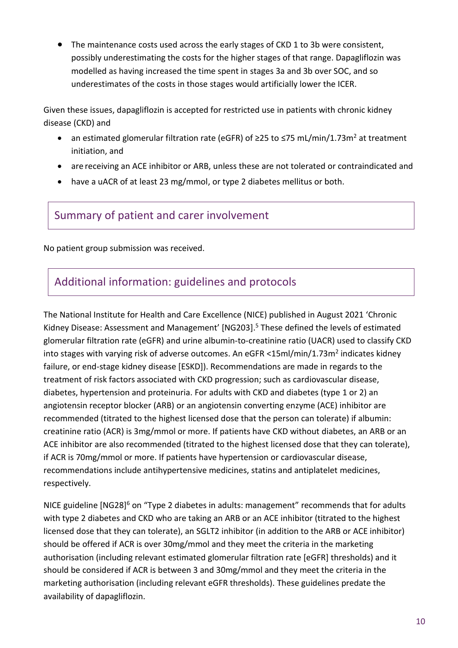• The maintenance costs used across the early stages of CKD 1 to 3b were consistent, possibly underestimating the costs for the higher stages of that range. Dapagliflozin was modelled as having increased the time spent in stages 3a and 3b over SOC, and so underestimates of the costs in those stages would artificially lower the ICER.

Given these issues, dapagliflozin is accepted for restricted use in patients with chronic kidney disease (CKD) and

- an estimated glomerular filtration rate (eGFR) of  $\geq$ 25 to  $\leq$ 75 mL/min/1.73m<sup>2</sup> at treatment initiation, and
- are receiving an ACE inhibitor or ARB, unless these are not tolerated or contraindicated and
- have a uACR of at least 23 mg/mmol, or type 2 diabetes mellitus or both.

Summary of patient and carer involvement

No patient group submission was received.

# Additional information: guidelines and protocols

The National Institute for Health and Care Excellence (NICE) published in August 2021 'Chronic Kidney Disease: Assessment and Management' [NG203]. <sup>5</sup> These defined the levels of estimated glomerular filtration rate (eGFR) and urine albumin-to-creatinine ratio (UACR) used to classify CKD into stages with varying risk of adverse outcomes. An eGFR <15ml/min/1.73m<sup>2</sup> indicates kidney failure, or end-stage kidney disease [ESKD]). Recommendations are made in regards to the treatment of risk factors associated with CKD progression; such as cardiovascular disease, diabetes, hypertension and proteinuria. For adults with CKD and diabetes (type 1 or 2) an angiotensin receptor blocker (ARB) or an angiotensin converting enzyme (ACE) inhibitor are recommended (titrated to the highest licensed dose that the person can tolerate) if albumin: creatinine ratio (ACR) is 3mg/mmol or more. If patients have CKD without diabetes, an ARB or an ACE inhibitor are also recommended (titrated to the highest licensed dose that they can tolerate), if ACR is 70mg/mmol or more. If patients have hypertension or cardiovascular disease, recommendations include antihypertensive medicines, statins and antiplatelet medicines, respectively.

NICE guideline  $[NG28]^{6}$  on "Type 2 diabetes in adults: management" recommends that for adults with type 2 diabetes and CKD who are taking an ARB or an ACE inhibitor (titrated to the highest licensed dose that they can tolerate), an SGLT2 inhibitor (in addition to the ARB or ACE inhibitor) should be offered if ACR is over 30mg/mmol and they meet the criteria in the marketing authorisation (including relevant estimated glomerular filtration rate [eGFR] thresholds) and it should be considered if ACR is between 3 and 30mg/mmol and they meet the criteria in the marketing authorisation (including relevant eGFR thresholds). These guidelines predate the availability of dapagliflozin.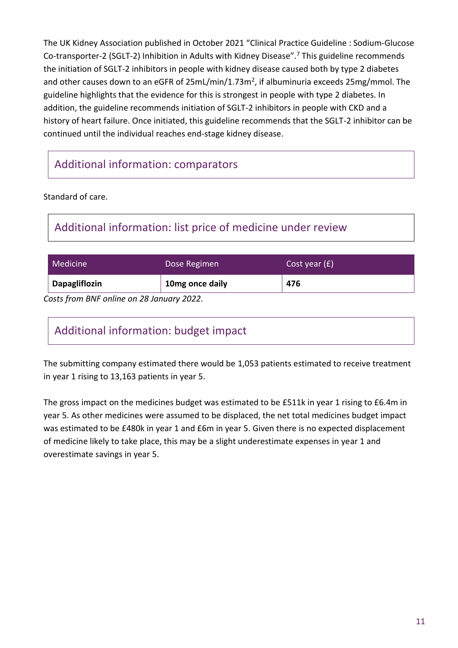The UK Kidney Association published in October 2021 "Clinical Practice Guideline : Sodium-Glucose Co-transporter-2 (SGLT-2) Inhibition in Adults with Kidney Disease".<sup>7</sup> This guideline recommends the initiation of SGLT-2 inhibitors in people with kidney disease caused both by type 2 diabetes and other causes down to an eGFR of 25mL/min/1.73m<sup>2</sup>, if albuminuria exceeds 25mg/mmol. The guideline highlights that the evidence for this is strongest in people with type 2 diabetes. In addition, the guideline recommends initiation of SGLT-2 inhibitors in people with CKD and a history of heart failure. Once initiated, this guideline recommends that the SGLT-2 inhibitor can be continued until the individual reaches end-stage kidney disease.

# Additional information: comparators

Standard of care.

# Additional information: list price of medicine under review

| <b>Medicine</b>      | Dose Regimen    | Cost year $(f)$ |
|----------------------|-----------------|-----------------|
| <b>Dapagliflozin</b> | 10mg once daily | 476             |

*Costs from BNF online on 28 January 2022.*

# Additional information: budget impact

The submitting company estimated there would be 1,053 patients estimated to receive treatment in year 1 rising to 13,163 patients in year 5.

The gross impact on the medicines budget was estimated to be £511k in year 1 rising to £6.4m in year 5. As other medicines were assumed to be displaced, the net total medicines budget impact was estimated to be £480k in year 1 and £6m in year 5. Given there is no expected displacement of medicine likely to take place, this may be a slight underestimate expenses in year 1 and overestimate savings in year 5.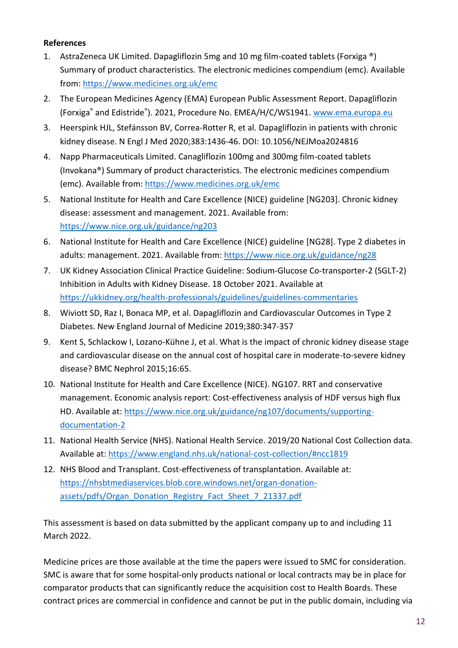#### **References**

- 1. AstraZeneca UK Limited. Dapagliflozin 5mg and 10 mg film-coated tablets (Forxiga ®) Summary of product characteristics. The electronic medicines compendium (emc). Available from[: https://www.medicines.org.uk/emc](https://www.medicines.org.uk/emc)
- 2. The European Medicines Agency (EMA) European Public Assessment Report. Dapagliflozin (Forxiga<sup>®</sup> and Edistride®). 2021, Procedure No. EMEA/H/C/WS1941. [www.ema.europa.eu](http://www.ema.europa.eu/)
- 3. Heerspink HJL, Stefánsson BV, Correa-Rotter R, et al. Dapagliflozin in patients with chronic kidney disease. N Engl J Med 2020;383:1436-46. DOI: 10.1056/NEJMoa2024816
- 4. Napp Pharmaceuticals Limited. Canagliflozin 100mg and 300mg film-coated tablets (Invokana®) Summary of product characteristics. The electronic medicines compendium (emc). Available from:<https://www.medicines.org.uk/emc>
- 5. National Institute for Health and Care Excellence (NICE) guideline [NG203]. Chronic kidney disease: assessment and management. 2021. Available from: <https://www.nice.org.uk/guidance/ng203>
- 6. National Institute for Health and Care Excellence (NICE) guideline [NG28]. Type 2 diabetes in adults: management. 2021. Available from: <https://www.nice.org.uk/guidance/ng28>
- 7. UK Kidney Association Clinical Practice Guideline: Sodium-Glucose Co-transporter-2 (SGLT-2) Inhibition in Adults with Kidney Disease. 18 October 2021. Available at <https://ukkidney.org/health-professionals/guidelines/guidelines-commentaries>
- 8. Wiviott SD, Raz I, Bonaca MP, et al. Dapagliflozin and Cardiovascular Outcomes in Type 2 Diabetes. New England Journal of Medicine 2019;380:347-357
- 9. Kent S, Schlackow I, Lozano-Kühne J, et al. What is the impact of chronic kidney disease stage and cardiovascular disease on the annual cost of hospital care in moderate-to-severe kidney disease? BMC Nephrol 2015;16:65.
- 10. National Institute for Health and Care Excellence (NICE). NG107. RRT and conservative management. Economic analysis report: Cost-effectiveness analysis of HDF versus high flux HD. Available at: [https://www.nice.org.uk/guidance/ng107/documents/supporting](https://www.nice.org.uk/guidance/ng107/documents/supporting-documentation-2)[documentation-2](https://www.nice.org.uk/guidance/ng107/documents/supporting-documentation-2)
- 11. National Health Service (NHS). National Health Service. 2019/20 National Cost Collection data. Available at:<https://www.england.nhs.uk/national-cost-collection/#ncc1819>
- 12. NHS Blood and Transplant. Cost-effectiveness of transplantation. Available at: [https://nhsbtmediaservices.blob.core.windows.net/organ-donation](https://nhsbtmediaservices.blob.core.windows.net/organ-donation-assets/pdfs/Organ_Donation_Registry_Fact_Sheet_7_21337.pdf)[assets/pdfs/Organ\\_Donation\\_Registry\\_Fact\\_Sheet\\_7\\_21337.pdf](https://nhsbtmediaservices.blob.core.windows.net/organ-donation-assets/pdfs/Organ_Donation_Registry_Fact_Sheet_7_21337.pdf)

This assessment is based on data submitted by the applicant company up to and including 11 March 2022.

Medicine prices are those available at the time the papers were issued to SMC for consideration. SMC is aware that for some hospital-only products national or local contracts may be in place for comparator products that can significantly reduce the acquisition cost to Health Boards. These contract prices are commercial in confidence and cannot be put in the public domain, including via